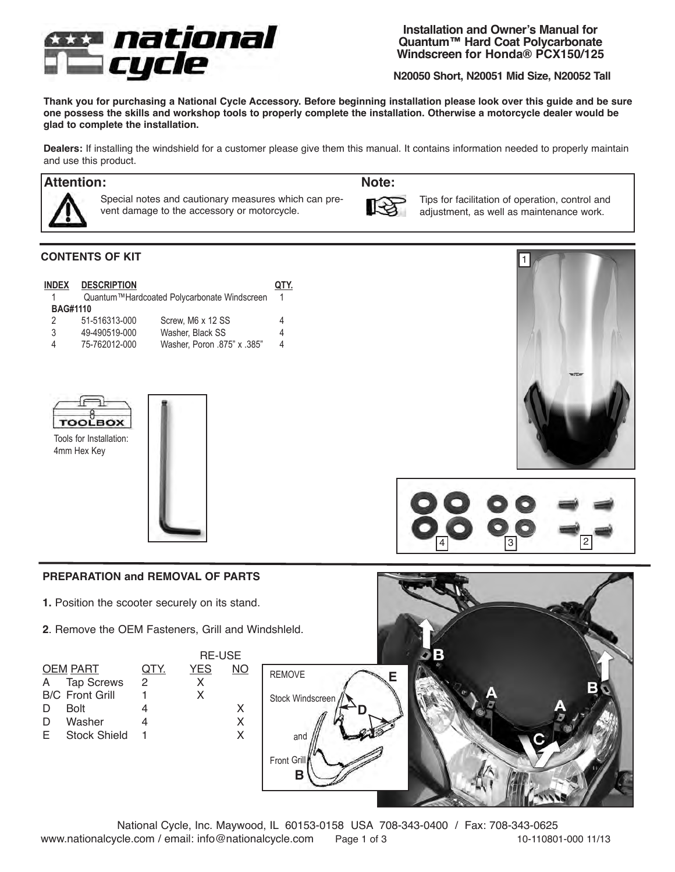

**Installation and Owner's Manual for Quantum™ Hard Coat Polycarbonate Windscreen for Honda® PCX150/125**

**N20050 Short, N20051 Mid Size, N20052 Tall** 

**Thank you for purchasing a National Cycle Accessory. Before beginning installation please look over this guide and be sure one possess the skills and workshop tools to properly complete the installation. Otherwise a motorcycle dealer would be glad to complete the installation.** 

**Dealers:** If installing the windshield for a customer please give them this manual. It contains information needed to properly maintain and use this product.

# **Attention: Note:**



Special notes and cautionary measures which can prevent damage to the accessory or motorcycle.



Tips for facilitation of operation, control and adjustment, as well as maintenance work.

## **CONTENTS OF KIT**

| <b>INDEX</b><br><b>BAG#1110</b> | <b>DESCRIPTION</b> | Quantum™Hardcoated Polycarbonate Windscreen |   |
|---------------------------------|--------------------|---------------------------------------------|---|
| 2                               | 51-516313-000      | Screw, M6 x 12 SS                           | 4 |
| 3                               | 49-490519-000      | Washer, Black SS                            | 4 |
| Δ                               | 75-762012-000      | Washer, Poron .875" x .385"                 | 4 |



Tools for Installation: 4mm Hex Key 







### **PREPARATION and REMOVAL OF PARTS**

- **1.** Position the scooter securely on its stand.
- **2**. Remove the OEM Fasteners, Grill and Windshleld.

|                 |                        | <b>RE-USE</b> |            |    |  |  |
|-----------------|------------------------|---------------|------------|----|--|--|
| <b>OEM PART</b> |                        | QTY.          | <b>YES</b> | NΟ |  |  |
| A               | <b>Tap Screws</b>      | 2             | X          |    |  |  |
|                 | <b>B/C</b> Front Grill |               | x          |    |  |  |
| D               | <b>Bolt</b>            |               |            | x  |  |  |
| D               | Washer                 |               |            |    |  |  |
| E               | <b>Stock Shield</b>    |               |            |    |  |  |
|                 |                        |               |            |    |  |  |
|                 |                        |               |            |    |  |  |



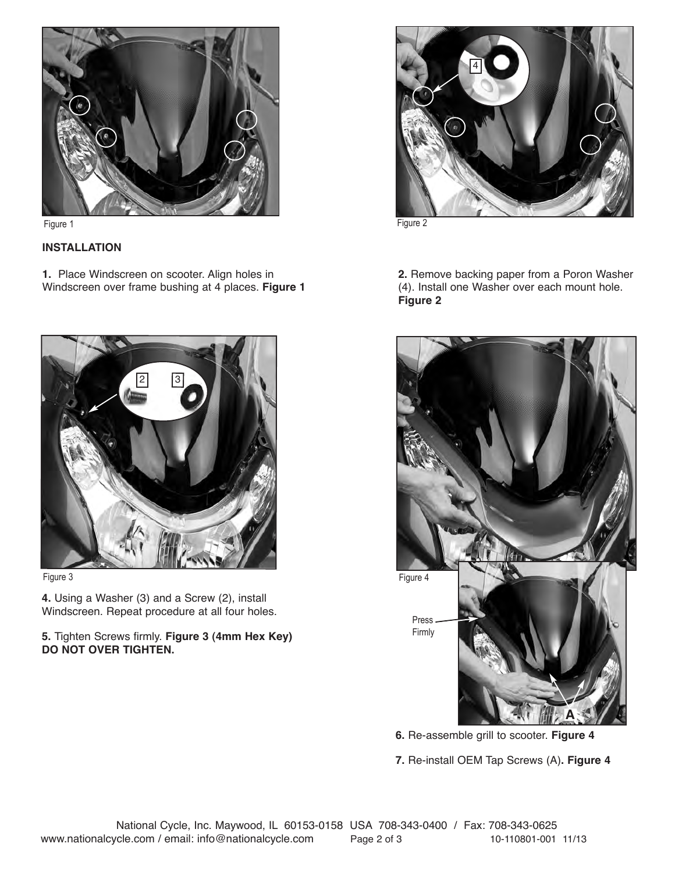

Figure 1 Figure 2

## **INSTALLATION**

**1.** Place Windscreen on scooter. Align holes in Windscreen over frame bushing at 4 places. **Figure 1** 





**4.** Using a Washer (3) and a Screw (2), install Windscreen. Repeat procedure at all four holes.

### **5.** Tighten Screws firmly. **Figure 3 (4mm Hex Key) DO NOT OVER TIGHTEN.**



**2.** Remove backing paper from a Poron Washer (4). Install one Washer over each mount hole. **Figure 2**



**6.** Re-assemble grill to scooter. **Figure 4**

**7.** Re-install OEM Tap Screws (A)**. Figure 4**